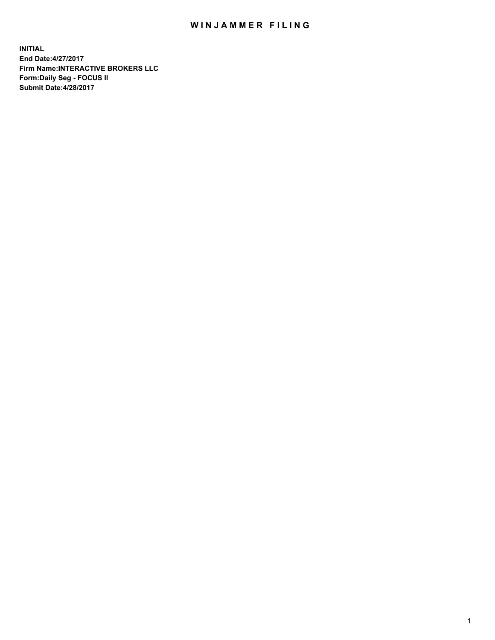## WIN JAMMER FILING

**INITIAL End Date:4/27/2017 Firm Name:INTERACTIVE BROKERS LLC Form:Daily Seg - FOCUS II Submit Date:4/28/2017**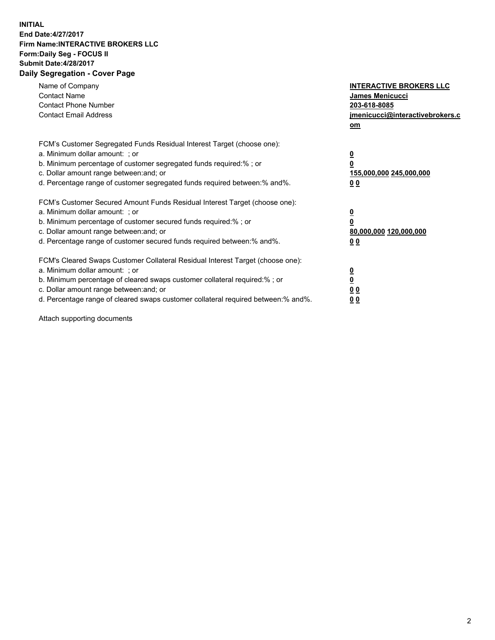## **INITIAL End Date:4/27/2017 Firm Name:INTERACTIVE BROKERS LLC Form:Daily Seg - FOCUS II Submit Date:4/28/2017 Daily Segregation - Cover Page**

| Name of Company<br><b>Contact Name</b><br><b>Contact Phone Number</b><br><b>Contact Email Address</b>                                                                                                                                                                                                                          | <b>INTERACTIVE BROKERS LLC</b><br><b>James Menicucci</b><br>203-618-8085<br>jmenicucci@interactivebrokers.c<br>om |
|--------------------------------------------------------------------------------------------------------------------------------------------------------------------------------------------------------------------------------------------------------------------------------------------------------------------------------|-------------------------------------------------------------------------------------------------------------------|
| FCM's Customer Segregated Funds Residual Interest Target (choose one):<br>a. Minimum dollar amount: ; or<br>b. Minimum percentage of customer segregated funds required:%; or<br>c. Dollar amount range between: and; or<br>d. Percentage range of customer segregated funds required between:% and%.                          | $\overline{\mathbf{0}}$<br>0<br>155,000,000 245,000,000<br>0 <sub>0</sub>                                         |
| FCM's Customer Secured Amount Funds Residual Interest Target (choose one):<br>a. Minimum dollar amount: ; or<br>b. Minimum percentage of customer secured funds required:%; or<br>c. Dollar amount range between: and; or<br>d. Percentage range of customer secured funds required between: % and %.                          | $\overline{\mathbf{0}}$<br>0<br>80,000,000 120,000,000<br>00                                                      |
| FCM's Cleared Swaps Customer Collateral Residual Interest Target (choose one):<br>a. Minimum dollar amount: ; or<br>b. Minimum percentage of cleared swaps customer collateral required:% ; or<br>c. Dollar amount range between: and; or<br>d. Percentage range of cleared swaps customer collateral required between:% and%. | $\overline{\mathbf{0}}$<br>$\overline{\mathbf{0}}$<br>0 <sub>0</sub><br><u>00</u>                                 |

Attach supporting documents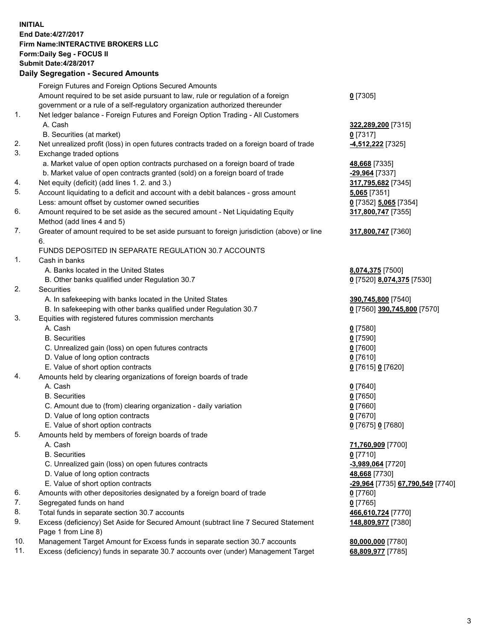## **INITIAL End Date:4/27/2017 Firm Name:INTERACTIVE BROKERS LLC Form:Daily Seg - FOCUS II Submit Date:4/28/2017 Daily Segregation - Secured Amounts**

|     | Foreign Futures and Foreign Options Secured Amounts                                         |                                  |
|-----|---------------------------------------------------------------------------------------------|----------------------------------|
|     | Amount required to be set aside pursuant to law, rule or regulation of a foreign            | $0$ [7305]                       |
|     | government or a rule of a self-regulatory organization authorized thereunder                |                                  |
| 1.  | Net ledger balance - Foreign Futures and Foreign Option Trading - All Customers             |                                  |
|     | A. Cash                                                                                     | 322,289,200 [7315]               |
|     | B. Securities (at market)                                                                   | $0$ [7317]                       |
| 2.  | Net unrealized profit (loss) in open futures contracts traded on a foreign board of trade   | -4,512,222 [7325]                |
| 3.  | Exchange traded options                                                                     |                                  |
|     |                                                                                             |                                  |
|     | a. Market value of open option contracts purchased on a foreign board of trade              | 48,668 [7335]                    |
|     | b. Market value of open contracts granted (sold) on a foreign board of trade                | -29,964 [7337]                   |
| 4.  | Net equity (deficit) (add lines 1.2. and 3.)                                                | 317,795,682 [7345]               |
| 5.  | Account liquidating to a deficit and account with a debit balances - gross amount           | 5,065 [7351]                     |
|     | Less: amount offset by customer owned securities                                            | 0 [7352] 5,065 [7354]            |
| 6.  | Amount required to be set aside as the secured amount - Net Liquidating Equity              | 317,800,747 [7355]               |
|     | Method (add lines 4 and 5)                                                                  |                                  |
| 7.  | Greater of amount required to be set aside pursuant to foreign jurisdiction (above) or line | 317,800,747 [7360]               |
|     | 6.                                                                                          |                                  |
|     | FUNDS DEPOSITED IN SEPARATE REGULATION 30.7 ACCOUNTS                                        |                                  |
| 1.  | Cash in banks                                                                               |                                  |
|     | A. Banks located in the United States                                                       | 8,074,375 [7500]                 |
|     | B. Other banks qualified under Regulation 30.7                                              | 0 [7520] 8,074,375 [7530]        |
| 2.  | Securities                                                                                  |                                  |
|     | A. In safekeeping with banks located in the United States                                   | 390,745,800 [7540]               |
|     | B. In safekeeping with other banks qualified under Regulation 30.7                          | 0 [7560] 390,745,800 [7570]      |
| 3.  | Equities with registered futures commission merchants                                       |                                  |
|     | A. Cash                                                                                     | $0$ [7580]                       |
|     | <b>B.</b> Securities                                                                        | $0$ [7590]                       |
|     | C. Unrealized gain (loss) on open futures contracts                                         | $0$ [7600]                       |
|     | D. Value of long option contracts                                                           | $0$ [7610]                       |
|     | E. Value of short option contracts                                                          | 0 [7615] 0 [7620]                |
| 4.  | Amounts held by clearing organizations of foreign boards of trade                           |                                  |
|     | A. Cash                                                                                     |                                  |
|     | <b>B.</b> Securities                                                                        | $0$ [7640]                       |
|     |                                                                                             | $0$ [7650]                       |
|     | C. Amount due to (from) clearing organization - daily variation                             | $0$ [7660]                       |
|     | D. Value of long option contracts                                                           | $0$ [7670]                       |
|     | E. Value of short option contracts                                                          | 0 [7675] 0 [7680]                |
| 5.  | Amounts held by members of foreign boards of trade                                          |                                  |
|     | A. Cash                                                                                     | 71,760,909 [7700]                |
|     | <b>B.</b> Securities                                                                        | $0$ [7710]                       |
|     | C. Unrealized gain (loss) on open futures contracts                                         | -3,989,064 [7720]                |
|     | D. Value of long option contracts                                                           | 48,668 [7730]                    |
|     | E. Value of short option contracts                                                          | -29,964 [7735] 67,790,549 [7740] |
| 6.  | Amounts with other depositories designated by a foreign board of trade                      | $0$ [7760]                       |
| 7.  | Segregated funds on hand                                                                    | $0$ [7765]                       |
| 8.  | Total funds in separate section 30.7 accounts                                               | 466,610,724 [7770]               |
| 9.  | Excess (deficiency) Set Aside for Secured Amount (subtract line 7 Secured Statement         | 148,809,977 [7380]               |
|     | Page 1 from Line 8)                                                                         |                                  |
| 10. | Management Target Amount for Excess funds in separate section 30.7 accounts                 | 80,000,000 [7780]                |
| 11. | Excess (deficiency) funds in separate 30.7 accounts over (under) Management Target          | 68,809,977 [7785]                |
|     |                                                                                             |                                  |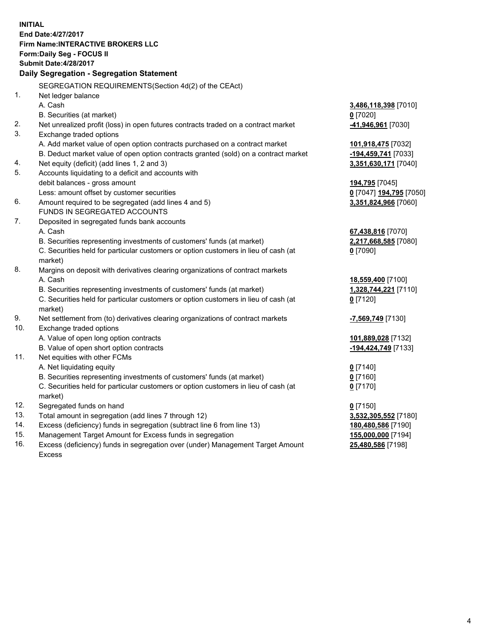**INITIAL End Date:4/27/2017 Firm Name:INTERACTIVE BROKERS LLC Form:Daily Seg - FOCUS II Submit Date:4/28/2017 Daily Segregation - Segregation Statement** SEGREGATION REQUIREMENTS(Section 4d(2) of the CEAct) 1. Net ledger balance A. Cash **3,486,118,398** [7010] B. Securities (at market) **0** [7020] 2. Net unrealized profit (loss) in open futures contracts traded on a contract market **-41,946,961** [7030] 3. Exchange traded options A. Add market value of open option contracts purchased on a contract market **101,918,475** [7032] B. Deduct market value of open option contracts granted (sold) on a contract market **-194,459,741** [7033] 4. Net equity (deficit) (add lines 1, 2 and 3) **3,351,630,171** [7040] 5. Accounts liquidating to a deficit and accounts with debit balances - gross amount **194,795** [7045] Less: amount offset by customer securities **0** [7047] **194,795** [7050] 6. Amount required to be segregated (add lines 4 and 5) **3,351,824,966** [7060] FUNDS IN SEGREGATED ACCOUNTS 7. Deposited in segregated funds bank accounts A. Cash **67,438,816** [7070] B. Securities representing investments of customers' funds (at market) **2,217,668,585** [7080] C. Securities held for particular customers or option customers in lieu of cash (at market) **0** [7090] 8. Margins on deposit with derivatives clearing organizations of contract markets A. Cash **18,559,400** [7100] B. Securities representing investments of customers' funds (at market) **1,328,744,221** [7110] C. Securities held for particular customers or option customers in lieu of cash (at market) **0** [7120] 9. Net settlement from (to) derivatives clearing organizations of contract markets **-7,569,749** [7130] 10. Exchange traded options A. Value of open long option contracts **101,889,028** [7132] B. Value of open short option contracts **-194,424,749** [7133] 11. Net equities with other FCMs A. Net liquidating equity **0** [7140] B. Securities representing investments of customers' funds (at market) **0** [7160] C. Securities held for particular customers or option customers in lieu of cash (at market) **0** [7170] 12. Segregated funds on hand **0** [7150] 13. Total amount in segregation (add lines 7 through 12) **3,532,305,552** [7180] 14. Excess (deficiency) funds in segregation (subtract line 6 from line 13) **180,480,586** [7190] 15. Management Target Amount for Excess funds in segregation **155,000,000** [7194] **25,480,586** [7198]

16. Excess (deficiency) funds in segregation over (under) Management Target Amount Excess